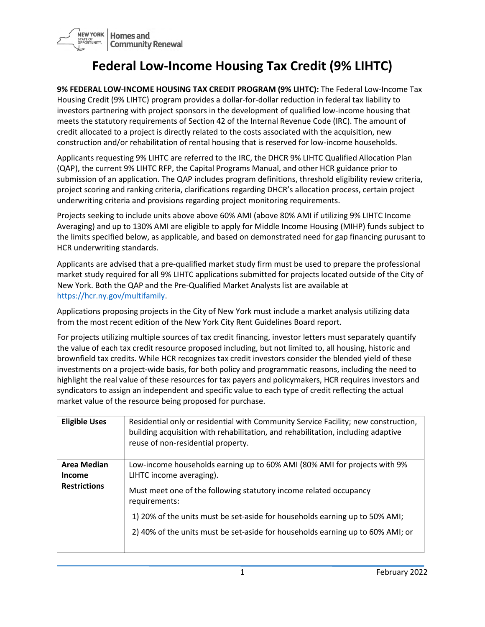

## **Federal Low-Income Housing Tax Credit (9% LIHTC)**

**9% FEDERAL LOW-INCOME HOUSING TAX CREDIT PROGRAM (9% LIHTC):** The Federal Low-Income Tax Housing Credit (9% LIHTC) program provides a dollar-for-dollar reduction in federal tax liability to investors partnering with project sponsors in the development of qualified low-income housing that meets the statutory requirements of Section 42 of the Internal Revenue Code (IRC). The amount of credit allocated to a project is directly related to the costs associated with the acquisition, new construction and/or rehabilitation of rental housing that is reserved for low-income households.

Applicants requesting 9% LIHTC are referred to the IRC, the DHCR 9% LIHTC Qualified Allocation Plan (QAP), the current 9% LIHTC RFP, the Capital Programs Manual, and other HCR guidance prior to submission of an application. The QAP includes program definitions, threshold eligibility review criteria, project scoring and ranking criteria, clarifications regarding DHCR's allocation process, certain project underwriting criteria and provisions regarding project monitoring requirements.

Projects seeking to include units above above 60% AMI (above 80% AMI if utilizing 9% LIHTC Income Averaging) and up to 130% AMI are eligible to apply for Middle Income Housing (MIHP) funds subject to the limits specified below, as applicable, and based on demonstrated need for gap financing purusant to HCR underwriting standards.

Applicants are advised that a pre-qualified market study firm must be used to prepare the professional market study required for all 9% LIHTC applications submitted for projects located outside of the City of New York. Both the QAP and the Pre-Qualified Market Analysts list are available at [https://hcr.ny.gov/multifamily.](https://hcr.ny.gov/multifamily)

Applications proposing projects in the City of New York must include a market analysis utilizing data from the most recent edition of the New York City Rent Guidelines Board report.

For projects utilizing multiple sources of tax credit financing, investor letters must separately quantify the value of each tax credit resource proposed including, but not limited to, all housing, historic and brownfield tax credits. While HCR recognizes tax credit investors consider the blended yield of these investments on a project-wide basis, for both policy and programmatic reasons, including the need to highlight the real value of these resources for tax payers and policymakers, HCR requires investors and syndicators to assign an independent and specific value to each type of credit reflecting the actual market value of the resource being proposed for purchase.

| <b>Eligible Uses</b>                                       | Residential only or residential with Community Service Facility; new construction,<br>building acquisition with rehabilitation, and rehabilitation, including adaptive<br>reuse of non-residential property.                                                                                                                                                 |
|------------------------------------------------------------|--------------------------------------------------------------------------------------------------------------------------------------------------------------------------------------------------------------------------------------------------------------------------------------------------------------------------------------------------------------|
| <b>Area Median</b><br><b>Income</b><br><b>Restrictions</b> | Low-income households earning up to 60% AMI (80% AMI for projects with 9%<br>LIHTC income averaging).<br>Must meet one of the following statutory income related occupancy<br>requirements:<br>1) 20% of the units must be set-aside for households earning up to 50% AMI;<br>2) 40% of the units must be set-aside for households earning up to 60% AMI; or |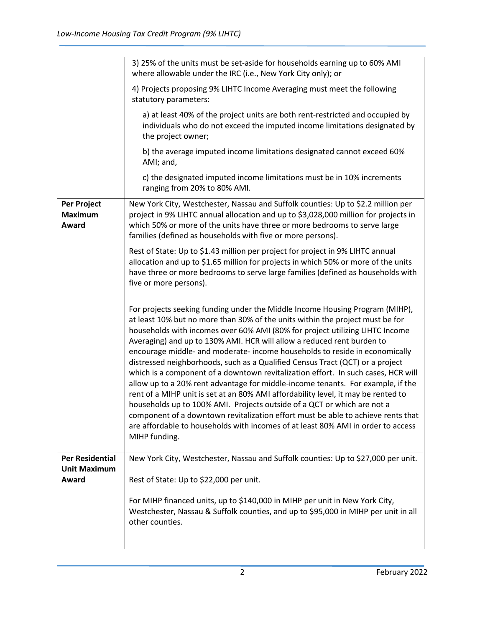|                                               | 3) 25% of the units must be set-aside for households earning up to 60% AMI<br>where allowable under the IRC (i.e., New York City only); or                                                                                                                                                                                                                                                                                                                                                                                                                                                                                                                                                                                                                                                                                                                                                                                                                                                                               |
|-----------------------------------------------|--------------------------------------------------------------------------------------------------------------------------------------------------------------------------------------------------------------------------------------------------------------------------------------------------------------------------------------------------------------------------------------------------------------------------------------------------------------------------------------------------------------------------------------------------------------------------------------------------------------------------------------------------------------------------------------------------------------------------------------------------------------------------------------------------------------------------------------------------------------------------------------------------------------------------------------------------------------------------------------------------------------------------|
|                                               | 4) Projects proposing 9% LIHTC Income Averaging must meet the following<br>statutory parameters:                                                                                                                                                                                                                                                                                                                                                                                                                                                                                                                                                                                                                                                                                                                                                                                                                                                                                                                         |
|                                               | a) at least 40% of the project units are both rent-restricted and occupied by<br>individuals who do not exceed the imputed income limitations designated by<br>the project owner;                                                                                                                                                                                                                                                                                                                                                                                                                                                                                                                                                                                                                                                                                                                                                                                                                                        |
|                                               | b) the average imputed income limitations designated cannot exceed 60%<br>AMI; and,                                                                                                                                                                                                                                                                                                                                                                                                                                                                                                                                                                                                                                                                                                                                                                                                                                                                                                                                      |
|                                               | c) the designated imputed income limitations must be in 10% increments<br>ranging from 20% to 80% AMI.                                                                                                                                                                                                                                                                                                                                                                                                                                                                                                                                                                                                                                                                                                                                                                                                                                                                                                                   |
| Per Project<br><b>Maximum</b><br>Award        | New York City, Westchester, Nassau and Suffolk counties: Up to \$2.2 million per<br>project in 9% LIHTC annual allocation and up to \$3,028,000 million for projects in<br>which 50% or more of the units have three or more bedrooms to serve large<br>families (defined as households with five or more persons).                                                                                                                                                                                                                                                                                                                                                                                                                                                                                                                                                                                                                                                                                                      |
|                                               | Rest of State: Up to \$1.43 million per project for project in 9% LIHTC annual<br>allocation and up to \$1.65 million for projects in which 50% or more of the units<br>have three or more bedrooms to serve large families (defined as households with<br>five or more persons).                                                                                                                                                                                                                                                                                                                                                                                                                                                                                                                                                                                                                                                                                                                                        |
|                                               | For projects seeking funding under the Middle Income Housing Program (MIHP),<br>at least 10% but no more than 30% of the units within the project must be for<br>households with incomes over 60% AMI (80% for project utilizing LIHTC Income<br>Averaging) and up to 130% AMI. HCR will allow a reduced rent burden to<br>encourage middle- and moderate- income households to reside in economically<br>distressed neighborhoods, such as a Qualified Census Tract (QCT) or a project<br>which is a component of a downtown revitalization effort. In such cases, HCR will<br>allow up to a 20% rent advantage for middle-income tenants. For example, if the<br>rent of a MIHP unit is set at an 80% AMI affordability level, it may be rented to<br>households up to 100% AMI. Projects outside of a QCT or which are not a<br>component of a downtown revitalization effort must be able to achieve rents that<br>are affordable to households with incomes of at least 80% AMI in order to access<br>MIHP funding. |
| <b>Per Residential</b><br><b>Unit Maximum</b> | New York City, Westchester, Nassau and Suffolk counties: Up to \$27,000 per unit.                                                                                                                                                                                                                                                                                                                                                                                                                                                                                                                                                                                                                                                                                                                                                                                                                                                                                                                                        |
| Award                                         | Rest of State: Up to \$22,000 per unit.                                                                                                                                                                                                                                                                                                                                                                                                                                                                                                                                                                                                                                                                                                                                                                                                                                                                                                                                                                                  |
|                                               | For MIHP financed units, up to \$140,000 in MIHP per unit in New York City,<br>Westchester, Nassau & Suffolk counties, and up to \$95,000 in MIHP per unit in all<br>other counties.                                                                                                                                                                                                                                                                                                                                                                                                                                                                                                                                                                                                                                                                                                                                                                                                                                     |
|                                               |                                                                                                                                                                                                                                                                                                                                                                                                                                                                                                                                                                                                                                                                                                                                                                                                                                                                                                                                                                                                                          |